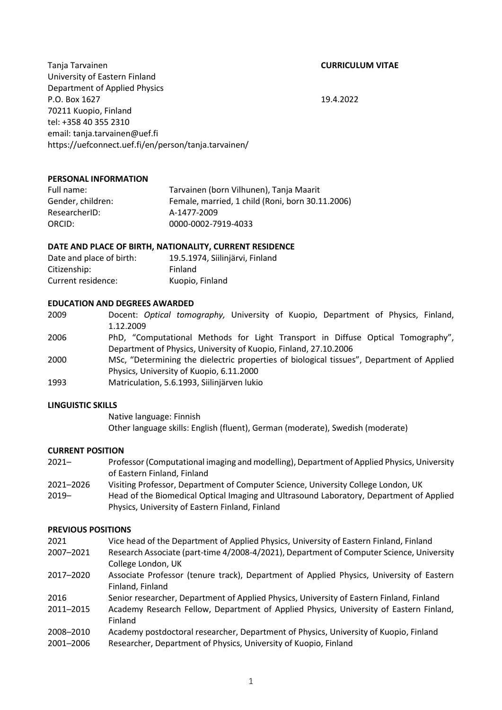Tanja Tarvainen **CURRICULUM VITAE** University of Eastern Finland Department of Applied Physics P.O. Box 1627 19.4.2022 70211 Kuopio, Finland tel: +358 40 355 2310 email: tanja.tarvainen@uef.fi https://uefconnect.uef.fi/en/person/tanja.tarvainen/

## **PERSONAL INFORMATION**

| Full name:        | Tarvainen (born Vilhunen), Tanja Maarit          |
|-------------------|--------------------------------------------------|
| Gender, children: | Female, married, 1 child (Roni, born 30.11.2006) |
| ResearcherID:     | A-1477-2009                                      |
| ORCID:            | 0000-0002-7919-4033                              |

## **DATE AND PLACE OF BIRTH, NATIONALITY, CURRENT RESIDENCE**

| Date and place of birth: | 19.5.1974, Siilinjärvi, Finland |
|--------------------------|---------------------------------|
| Citizenship:             | Finland                         |
| Current residence:       | Kuopio, Finland                 |

## **EDUCATION AND DEGREES AWARDED**

2009 Docent: *Optical tomography,* University of Kuopio, Department of Physics, Finland, 1.12.2009

2006 PhD, "Computational Methods for Light Transport in Diffuse Optical Tomography", Department of Physics, University of Kuopio, Finland, 27.10.2006

- 2000 MSc, "Determining the dielectric properties of biological tissues", Department of Applied Physics, University of Kuopio, 6.11.2000
- 1993 Matriculation, 5.6.1993, Siilinjärven lukio

## **LINGUISTIC SKILLS**

Native language: Finnish Other language skills: English (fluent), German (moderate), Swedish (moderate)

## **CURRENT POSITION**

- 2021– Professor (Computational imaging and modelling), Department of Applied Physics, University of Eastern Finland, Finland
- 2021–2026 Visiting Professor, Department of Computer Science, University College London, UK
- 2019– Head of the Biomedical Optical Imaging and Ultrasound Laboratory, Department of Applied Physics, University of Eastern Finland, Finland

## **PREVIOUS POSITIONS**

| 2021      | Vice head of the Department of Applied Physics, University of Eastern Finland, Finland   |
|-----------|------------------------------------------------------------------------------------------|
| 2007-2021 | Research Associate (part-time 4/2008-4/2021), Department of Computer Science, University |
|           | College London, UK                                                                       |
| 2017-2020 | Associate Professor (tenure track), Department of Applied Physics, University of Eastern |
|           | Finland, Finland                                                                         |
| 2016      | Senior researcher, Department of Applied Physics, University of Eastern Finland, Finland |
| 2011-2015 | Academy Research Fellow, Department of Applied Physics, University of Eastern Finland,   |
|           | Finland                                                                                  |
| 2008-2010 | Academy postdoctoral researcher, Department of Physics, University of Kuopio, Finland    |
| 2001-2006 | Researcher, Department of Physics, University of Kuopio, Finland                         |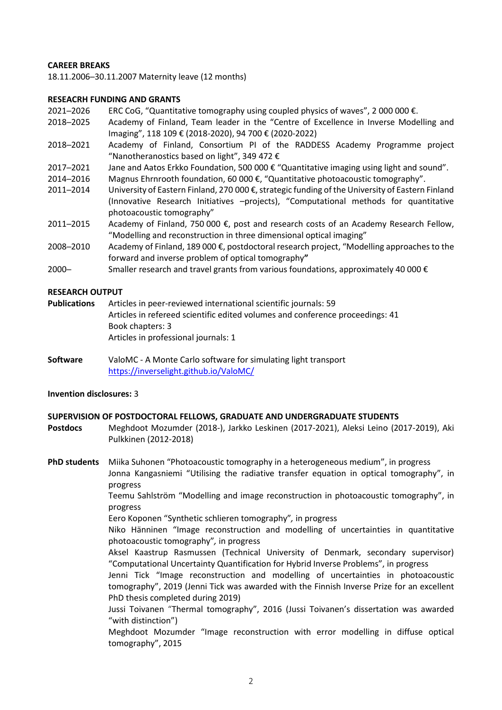# **CAREER BREAKS**

18.11.2006─30.11.2007 Maternity leave (12 months)

## **RESEACRH FUNDING AND GRANTS**

- 2021─2026 ERC CoG, "Quantitative tomography using coupled physics of waves", 2 000 000 €.
- 2018─2025 Academy of Finland, Team leader in the "Centre of Excellence in Inverse Modelling and Imaging", 118 109 € (2018-2020), 94 700 € (2020-2022)
- 2018─2021 Academy of Finland, Consortium PI of the RADDESS Academy Programme project "Nanotheranostics based on light", 349 472 €
- 2017─2021 Jane and Aatos Erkko Foundation, 500 000 € "Quantitative imaging using light and sound".
- 2014─2016 Magnus Ehrnrooth foundation, 60 000 €, "Quantitative photoacoustic tomography".
- 2011─2014 University of Eastern Finland, 270 000 €, strategic funding of the University of Eastern Finland (Innovative Research Initiatives –projects), "Computational methods for quantitative photoacoustic tomography"
- 2011-2015 Academy of Finland, 750 000 €, post and research costs of an Academy Research Fellow, "Modelling and reconstruction in three dimensional optical imaging"
- 2008─2010 Academy of Finland, 189 000 €, postdoctoral research project, "Modelling approaches to the forward and inverse problem of optical tomography**"**
- 2000─ Smaller research and travel grants from various foundations, approximately 40 000 €

## **RESEARCH OUTPUT**

- **Publications** Articles in peer-reviewed international scientific journals: 59 Articles in refereed scientific edited volumes and conference proceedings: 41 Book chapters: 3 Articles in professional journals: 1
- **Software** ValoMC A Monte Carlo software for simulating light transport <https://inverselight.github.io/ValoMC/>

## **Invention disclosures:** 3

## **SUPERVISION OF POSTDOCTORAL FELLOWS, GRADUATE AND UNDERGRADUATE STUDENTS**

**Postdocs** Meghdoot Mozumder (2018-), Jarkko Leskinen (2017-2021), Aleksi Leino (2017-2019), Aki Pulkkinen (2012-2018)

**PhD students** Miika Suhonen "Photoacoustic tomography in a heterogeneous medium", in progress Jonna Kangasniemi "Utilising the radiative transfer equation in optical tomography", in progress

> Teemu Sahlström "Modelling and image reconstruction in photoacoustic tomography", in progress

Eero Koponen "Synthetic schlieren tomography"*,* in progress

Niko Hänninen "Image reconstruction and modelling of uncertainties in quantitative photoacoustic tomography"*,* in progress

Aksel Kaastrup Rasmussen (Technical University of Denmark, secondary supervisor) "Computational Uncertainty Quantification for Hybrid Inverse Problems", in progress

Jenni Tick "Image reconstruction and modelling of uncertainties in photoacoustic tomography", 2019 (Jenni Tick was awarded with the Finnish Inverse Prize for an excellent PhD thesis completed during 2019)

Jussi Toivanen "Thermal tomography", 2016 (Jussi Toivanen's dissertation was awarded "with distinction")

Meghdoot Mozumder "Image reconstruction with error modelling in diffuse optical tomography", 2015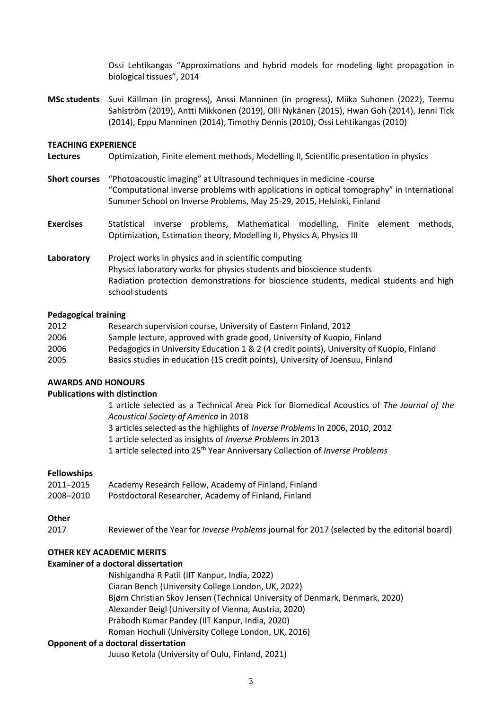Ossi Lehtikangas "Approximations and hybrid models for modeling light propagation in biological tissues", 2014

**MSc students** Suvi Källman (in progress), Anssi Manninen (in progress), Miika Suhonen (2022), Teemu Sahlström (2019), Antti Mikkonen (2019), Olli Nykänen (2015), Hwan Goh (2014), Jenni Tick (2014), Eppu Manninen (2014), Timothy Dennis (2010), Ossi Lehtikangas (2010)

## **TEACHING EXPERIENCE**

- **Lectures** Optimization, Finite element methods, Modelling II, Scientific presentation in physics
- **Short courses** "Photoacoustic imaging" at Ultrasound techniques in medicine -course "Computational inverse problems with applications in optical tomography" in International Summer School on Inverse Problems, May 25-29, 2015, Helsinki, Finland
- **Exercises** Statistical inverse problems, Mathematical modelling, Finite element methods, Optimization, Estimation theory, Modelling II, Physics A, Physics III
- Laboratory Project works in physics and in scientific computing Physics laboratory works for physics students and bioscience students Radiation protection demonstrations for bioscience students, medical students and high school students

## **Pedagogical training**

| 2012 | Research supervision course, University of Eastern Finland, 2012                          |
|------|-------------------------------------------------------------------------------------------|
| 2006 | Sample lecture, approved with grade good, University of Kuopio, Finland                   |
| 2006 | Pedagogics in University Education 1 & 2 (4 credit points), University of Kuopio, Finland |
| 2005 | Basics studies in education (15 credit points), University of Joensuu, Finland            |

## **AWARDS AND HONOURS**

# **Publications with distinction**

1 article selected as a Technical Area Pick for Biomedical Acoustics of *The Journal of the Acoustical Society of America* in 2018

3 articles selected as the highlights of *Inverse Problems* in 2006, 2010, 2012

1 article selected as insights of *Inverse Problems* in 2013

1 article selected into 25th Year Anniversary Collection of *Inverse Problems*

# **Fellowships**

| 2011–2015 | Academy Research Fellow, Academy of Finland, Finland |
|-----------|------------------------------------------------------|
| 2008-2010 | Postdoctoral Researcher, Academy of Finland, Finland |

## **Other**

2017 Reviewer of the Year for *Inverse Problems* journal for 2017 (selected by the editorial board)

# **OTHER KEY ACADEMIC MERITS**

## **Examiner of a doctoral dissertation**

Nishigandha R Patil (IIT Kanpur, India, 2022) Ciaran Bench (University College London, UK, 2022) Bjørn Christian Skov Jensen (Technical University of Denmark, Denmark, 2020) Alexander Beigl (University of Vienna, Austria, 2020) Prabodh Kumar Pandey (IIT Kanpur, India, 2020) Roman Hochuli (University College London, UK, 2016)

## **Opponent of a doctoral dissertation**

Juuso Ketola (University of Oulu, Finland, 2021)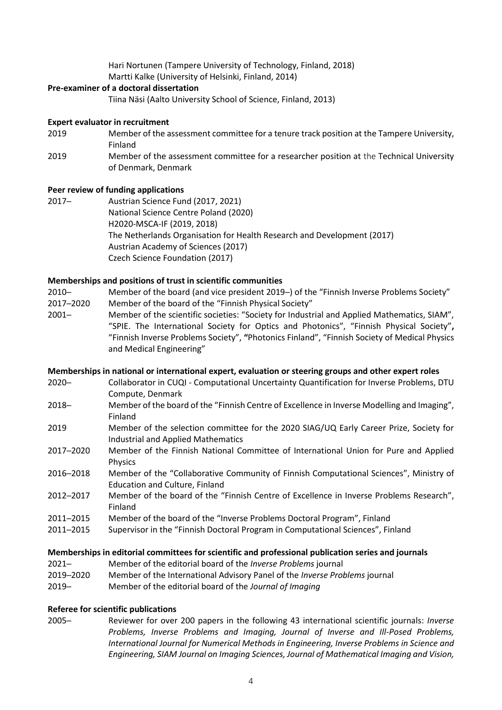Hari Nortunen (Tampere University of Technology, Finland, 2018) Martti Kalke (University of Helsinki, Finland, 2014)

# **Pre-examiner of a doctoral dissertation**

Tiina Näsi (Aalto University School of Science, Finland, 2013)

## **Expert evaluator in recruitment**

- 2019 Member of the assessment committee for a tenure track position at the Tampere University, Finland
- 2019 Member of the assessment committee for a researcher position at the Technical University of Denmark, Denmark

## **Peer review of funding applications**

2017─ Austrian Science Fund (2017, 2021) National Science Centre Poland (2020) H2020-MSCA-IF (2019, 2018) The Netherlands Organisation for Health Research and Development (2017) Austrian Academy of Sciences (2017) Czech Science Foundation (2017)

## **Memberships and positions of trust in scientific communities**

- 2010─ Member of the board (and vice president 2019─) of the "Finnish Inverse Problems Society"
- 2017─2020 Member of the board of the "Finnish Physical Society"
- 2001─ Member of the scientific societies: "Society for Industrial and Applied Mathematics, SIAM", "SPIE. The International Society for Optics and Photonics", "Finnish Physical Society"**,**  "Finnish Inverse Problems Society", **"**Photonics Finland", "Finnish Society of Medical Physics and Medical Engineering"

## **Memberships in national or international expert, evaluation or steering groups and other expert roles**

- 2020─ Collaborator in CUQI Computational Uncertainty Quantification for Inverse Problems, DTU Compute, Denmark
- 2018─ Member of the board of the "Finnish Centre of Excellence in Inverse Modelling and Imaging", Finland
- 2019 Member of the selection committee for the 2020 SIAG/UQ Early Career Prize, Society for Industrial and Applied Mathematics
- 2017─2020 Member of the Finnish National Committee of International Union for Pure and Applied Physics
- 2016─2018 Member of the "Collaborative Community of Finnish Computational Sciences", Ministry of Education and Culture, Finland
- 2012─2017 Member of the board of the "Finnish Centre of Excellence in Inverse Problems Research", Finland
- 2011─2015 Member of the board of the "Inverse Problems Doctoral Program", Finland
- 2011─2015 Supervisor in the "Finnish Doctoral Program in Computational Sciences", Finland

## **Memberships in editorial committees for scientific and professional publication series and journals**

- 2021─ Member of the editorial board of the *Inverse Problems* journal
- 2019─2020 Member of the International Advisory Panel of the *Inverse Problems* journal
- 2019─ Member of the editorial board of the *Journal of Imaging*

## **Referee for scientific publications**

2005─ Reviewer for over 200 papers in the following 43 international scientific journals: *Inverse Problems, Inverse Problems and Imaging, Journal of Inverse and Ill-Posed Problems, International Journal for Numerical Methods in Engineering, Inverse Problems in Science and Engineering, SIAM Journal on Imaging Sciences, Journal of Mathematical Imaging and Vision,*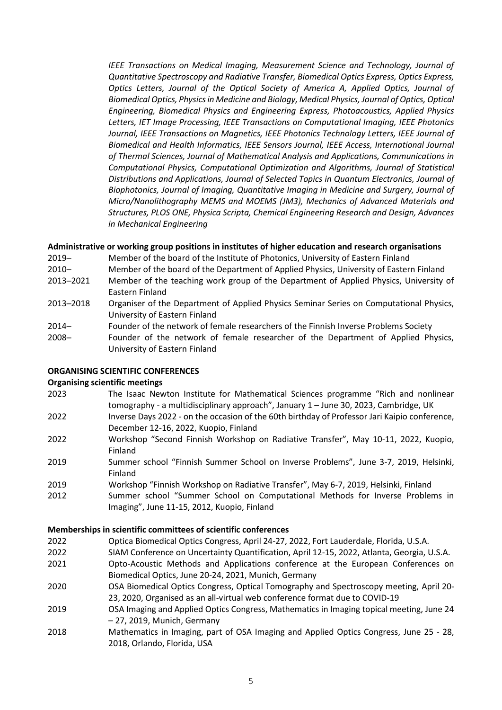*IEEE Transactions on Medical Imaging, Measurement Science and Technology, Journal of Quantitative Spectroscopy and Radiative Transfer, Biomedical Optics Express, Optics Express, Optics Letters, Journal of the Optical Society of America A, Applied Optics, Journal of Biomedical Optics, Physics in Medicine and Biology, Medical Physics, Journal of Optics, Optical Engineering, Biomedical Physics and Engineering Express, Photoacoustics, Applied Physics Letters, IET Image Processing, IEEE Transactions on Computational Imaging, IEEE Photonics Journal, IEEE Transactions on Magnetics, IEEE Photonics Technology Letters, IEEE Journal of Biomedical and Health Informatics, IEEE Sensors Journal, IEEE Access, International Journal of Thermal Sciences, Journal of Mathematical Analysis and Applications, Communications in Computational Physics, Computational Optimization and Algorithms, Journal of Statistical Distributions and Applications, Journal of Selected Topics in Quantum Electronics, Journal of Biophotonics, Journal of Imaging, Quantitative Imaging in Medicine and Surgery, Journal of Micro/Nanolithography MEMS and MOEMS (JM3), Mechanics of Advanced Materials and Structures, PLOS ONE, Physica Scripta, Chemical Engineering Research and Design, Advances in Mechanical Engineering*

# **Administrative or working group positions in institutes of higher education and research organisations**

- 2019- Member of the board of the Institute of Photonics, University of Eastern Finland
- 2010─ Member of the board of the Department of Applied Physics, University of Eastern Finland
- 2013─2021 Member of the teaching work group of the Department of Applied Physics, University of Eastern Finland
- 2013─2018 Organiser of the Department of Applied Physics Seminar Series on Computational Physics, University of Eastern Finland
- 2014─ Founder of the network of female researchers of the Finnish Inverse Problems Society
- 2008─ Founder of the network of female researcher of the Department of Applied Physics, University of Eastern Finland

# **ORGANISING SCIENTIFIC CONFERENCES**

# **Organising scientific meetings**

- 2023 The Isaac Newton Institute for Mathematical Sciences programme "Rich and nonlinear tomography - a multidisciplinary approach", January 1 – June 30, 2023, Cambridge, UK
- 2022 Inverse Days 2022 on the occasion of the 60th birthday of Professor Jari Kaipio conference, December 12-16, 2022, Kuopio, Finland
- 2022 Workshop "Second Finnish Workshop on Radiative Transfer", May 10-11, 2022, Kuopio, Finland
- 2019 Summer school "Finnish Summer School on Inverse Problems", June 3-7, 2019, Helsinki, Finland
- 2019 Workshop "Finnish Workshop on Radiative Transfer", May 6-7, 2019, Helsinki, Finland
- 2012 Summer school "Summer School on Computational Methods for Inverse Problems in Imaging", June 11-15, 2012, Kuopio, Finland

# **Memberships in scientific committees of scientific conferences**

- 2022 Optica Biomedical Optics Congress, April 24-27, 2022, Fort Lauderdale, Florida, U.S.A.
- 2022 SIAM Conference on Uncertainty Quantification, April 12-15, 2022, Atlanta, Georgia, U.S.A.
- 2021 Opto-Acoustic Methods and Applications conference at the European Conferences on Biomedical Optics, June 20-24, 2021, Munich, Germany
- 2020 OSA Biomedical Optics Congress, Optical Tomography and Spectroscopy meeting, April 20- 23, 2020, Organised as an all-virtual web conference format due to COVID-19
- 2019 OSA Imaging and Applied Optics Congress, Mathematics in Imaging topical meeting, June 24 – 27, 2019, Munich, Germany
- 2018 Mathematics in Imaging, part of OSA Imaging and Applied Optics Congress, June 25 28, 2018, Orlando, Florida, USA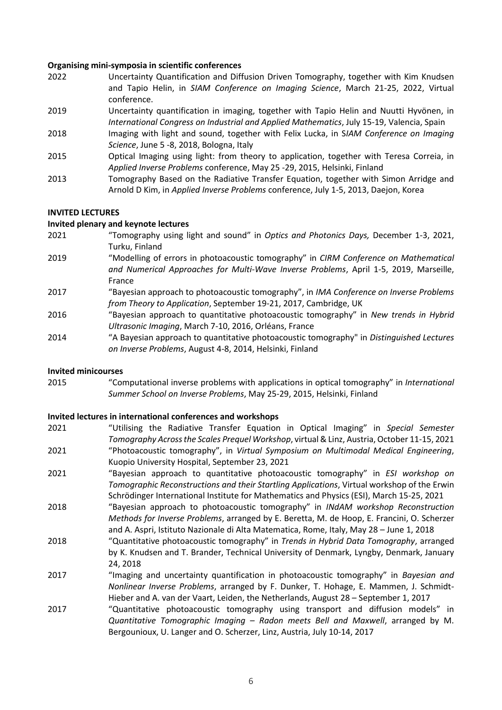## **Organising mini-symposia in scientific conferences**

- 2022 Uncertainty Quantification and Diffusion Driven Tomography, together with Kim Knudsen and Tapio Helin, in *SIAM Conference on Imaging Science*, March 21-25, 2022, Virtual conference.
- 2019 Uncertainty quantification in imaging, together with Tapio Helin and Nuutti Hyvönen, in *International Congress on Industrial and Applied Mathematics*, July 15-19, Valencia, Spain
- 2018 Imaging with light and sound, together with Felix Lucka, in S*IAM Conference on Imaging Science*, June 5 -8, 2018, Bologna, Italy
- 2015 Optical Imaging using light: from theory to application, together with Teresa Correia, in *Applied Inverse Problems* conference, May 25 -29, 2015, Helsinki, Finland
- 2013 Tomography Based on the Radiative Transfer Equation, together with Simon Arridge and Arnold D Kim, in *Applied Inverse Problems* conference, July 1-5, 2013, Daejon, Korea

## **INVITED LECTURES**

## **Invited plenary and keynote lectures**

- 2021 "Tomography using light and sound" in *Optics and Photonics Days,* December 1-3, 2021, Turku, Finland
- 2019 "Modelling of errors in photoacoustic tomography" in *CIRM Conference on Mathematical and Numerical Approaches for Multi-Wave Inverse Problems*, April 1-5, 2019, Marseille, France
- 2017 "Bayesian approach to photoacoustic tomography", in *IMA Conference on Inverse Problems from Theory to Application*, September 19-21, 2017, Cambridge, UK
- 2016 "Bayesian approach to quantitative photoacoustic tomography" in *New trends in Hybrid Ultrasonic Imaging*, March 7-10, 2016, Orléans, France
- 2014 "A Bayesian approach to quantitative photoacoustic tomography" in *Distinguished Lectures on Inverse Problems*, August 4-8, 2014, Helsinki, Finland

## **Invited minicourses**

2015 "Computational inverse problems with applications in optical tomography" in *International Summer School on Inverse Problems*, May 25-29, 2015, Helsinki, Finland

## **Invited lectures in international conferences and workshops**

- 2021 "Utilising the Radiative Transfer Equation in Optical Imaging" in *Special Semester Tomography Across the Scales Prequel Workshop*, virtual & Linz, Austria, October 11-15, 2021 2021 "Photoacoustic tomography", in *Virtual Symposium on Multimodal Medical Engineering*, Kuopio University Hospital, September 23, 2021
- 2021 "Bayesian approach to quantitative photoacoustic tomography" in *ESI workshop on Tomographic Reconstructions and their Startling Applications*, Virtual workshop of the Erwin Schrödinger International Institute for Mathematics and Physics (ESI), March 15-25, 2021
- 2018 "Bayesian approach to photoacoustic tomography" in *INdAM workshop Reconstruction Methods for Inverse Problems*, arranged by E. Beretta, M. de Hoop, E. Francini, O. Scherzer and A. Aspri, Istituto Nazionale di Alta Matematica, Rome, Italy, May 28 – June 1, 2018
- 2018 "Quantitative photoacoustic tomography" in *Trends in Hybrid Data Tomography*, arranged by K. Knudsen and T. Brander, Technical University of Denmark, Lyngby, Denmark, January 24, 2018
- 2017 "Imaging and uncertainty quantification in photoacoustic tomography" in *Bayesian and Nonlinear Inverse Problems*, arranged by F. Dunker, T. Hohage, E. Mammen, J. Schmidt-Hieber and A. van der Vaart, Leiden, the Netherlands, August 28 – September 1, 2017
- 2017 "Quantitative photoacoustic tomography using transport and diffusion models" in *Quantitative Tomographic Imaging – Radon meets Bell and Maxwell*, arranged by M. Bergounioux, U. Langer and O. Scherzer, Linz, Austria, July 10-14, 2017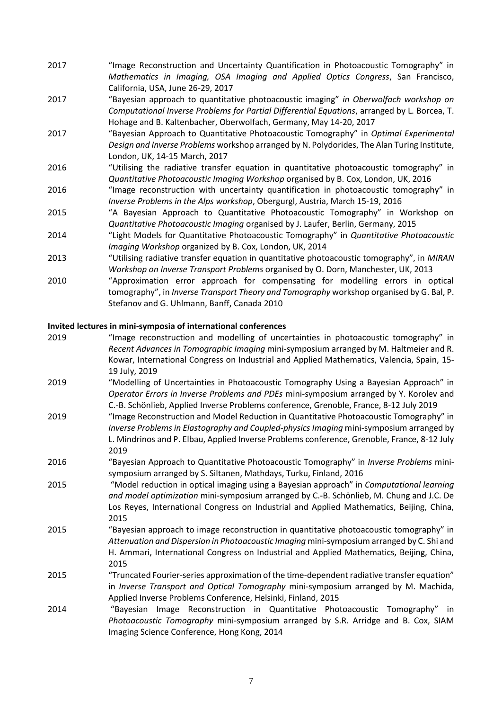- 2017 "Image Reconstruction and Uncertainty Quantification in Photoacoustic Tomography" in *Mathematics in Imaging, OSA Imaging and Applied Optics Congress*, San Francisco, California, USA, June 26-29, 2017
- 2017 "Bayesian approach to quantitative photoacoustic imaging" *in Oberwolfach workshop on Computational Inverse Problems for Partial Differential Equations*, arranged by L. Borcea, T. Hohage and B. Kaltenbacher, Oberwolfach, Germany, May 14-20, 2017
- 2017 "Bayesian Approach to Quantitative Photoacoustic Tomography" in *Optimal Experimental Design and Inverse Problems* workshop arranged by N. Polydorides, The Alan Turing Institute, London, UK, 14-15 March, 2017
- 2016 "Utilising the radiative transfer equation in quantitative photoacoustic tomography" in *Quantitative Photoacoustic Imaging Workshop* organised by B. Cox, London, UK, 2016
- 2016 "Image reconstruction with uncertainty quantification in photoacoustic tomography" in *Inverse Problems in the Alps workshop*, Obergurgl, Austria, March 15-19, 2016
- 2015 "A Bayesian Approach to Quantitative Photoacoustic Tomography" in Workshop on *Quantitative Photoacoustic Imaging* organised by J. Laufer, Berlin, Germany, 2015
- 2014 "Light Models for Quantitative Photoacoustic Tomography" in *Quantitative Photoacoustic Imaging Workshop* organized by B. Cox, London, UK, 2014
- 2013 "Utilising radiative transfer equation in quantitative photoacoustic tomography", in *MIRAN Workshop on Inverse Transport Problems* organised by O. Dorn, Manchester, UK, 2013
- 2010 "Approximation error approach for compensating for modelling errors in optical tomography", in *Inverse Transport Theory and Tomography* workshop organised by G. Bal, P. Stefanov and G. Uhlmann, Banff, Canada 2010

# **Invited lectures in mini-symposia of international conferences**

| 2019 | "Image reconstruction and modelling of uncertainties in photoacoustic tomography" in<br>Recent Advances in Tomographic Imaging mini-symposium arranged by M. Haltmeier and R.<br>Kowar, International Congress on Industrial and Applied Mathematics, Valencia, Spain, 15-               |
|------|------------------------------------------------------------------------------------------------------------------------------------------------------------------------------------------------------------------------------------------------------------------------------------------|
|      | 19 July, 2019                                                                                                                                                                                                                                                                            |
| 2019 | "Modelling of Uncertainties in Photoacoustic Tomography Using a Bayesian Approach" in<br>Operator Errors in Inverse Problems and PDEs mini-symposium arranged by Y. Korolev and<br>C.-B. Schönlieb, Applied Inverse Problems conference, Grenoble, France, 8-12 July 2019                |
| 2019 | "Image Reconstruction and Model Reduction in Quantitative Photoacoustic Tomography" in<br>Inverse Problems in Elastography and Coupled-physics Imaging mini-symposium arranged by<br>L. Mindrinos and P. Elbau, Applied Inverse Problems conference, Grenoble, France, 8-12 July<br>2019 |
| 2016 | "Bayesian Approach to Quantitative Photoacoustic Tomography" in Inverse Problems mini-<br>symposium arranged by S. Siltanen, Mathdays, Turku, Finland, 2016                                                                                                                              |
| 2015 | "Model reduction in optical imaging using a Bayesian approach" in Computational learning<br>and model optimization mini-symposium arranged by C.-B. Schönlieb, M. Chung and J.C. De<br>Los Reyes, International Congress on Industrial and Applied Mathematics, Beijing, China,<br>2015  |
| 2015 | "Bayesian approach to image reconstruction in quantitative photoacoustic tomography" in<br>Attenuation and Dispersion in Photoacoustic Imaging mini-symposium arranged by C. Shi and<br>H. Ammari, International Congress on Industrial and Applied Mathematics, Beijing, China,<br>2015 |
| 2015 | "Truncated Fourier-series approximation of the time-dependent radiative transfer equation"<br>in Inverse Transport and Optical Tomography mini-symposium arranged by M. Machida,<br>Applied Inverse Problems Conference, Helsinki, Finland, 2015                                         |
| 2014 | "Bayesian Image Reconstruction in Quantitative Photoacoustic Tomography" in<br>Photoacoustic Tomography mini-symposium arranged by S.R. Arridge and B. Cox, SIAM<br>Imaging Science Conference, Hong Kong, 2014                                                                          |